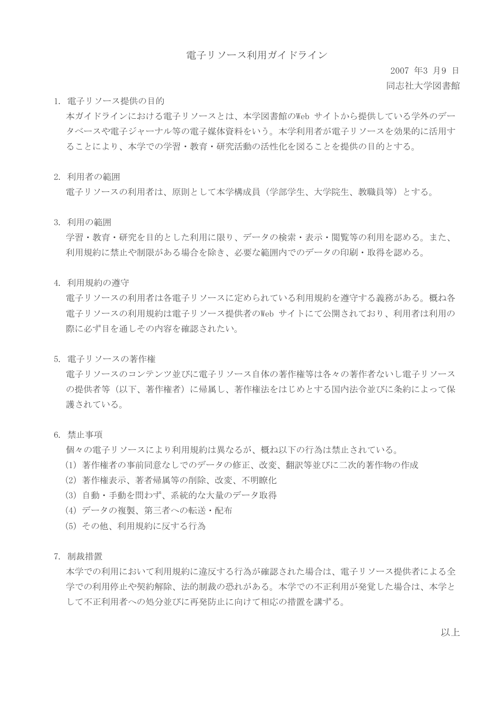#### 電子リソース利用ガイドライン

2007 年3 月9 日 同志社大学図書館

1. 電子リソース提供の目的

本ガイドラインにおける電子リソースとは、本学図書館のWeb サイトから提供している学外のデー タベースや電子ジャーナル等の電子媒体資料をいう。本学利用者が電子リソースを効果的に活用す ることにより、本学での学習・教育・研究活動の活性化を図ることを提供の目的とする。

2. 利用者の範囲

電子リソースの利用者は、原則として本学構成員(学部学生、大学院生、教職員等)とする。

3. 利用の範囲

学習・教育・研究を目的とした利用に限り、データの検索・表示・閲覧等の利用を認める。また、 利用規約に禁止や制限がある場合を除き、必要な範囲内でのデータの印刷・取得を認める。

4. 利用規約の遵守

電子リソースの利用者は各電子リソースに定められている利用規約を遵守する義務がある。概ね各 電子リソースの利用規約は電子リソース提供者のWeb サイトにて公開されており、利用者は利用の 際に必ず目を通しその内容を確認されたい。

5. 電子リソースの著作権

電子リソースのコンテンツ並びに電子リソース自体の著作権等は各々の著作者ないし電子リソース の提供者等(以下、著作権者)に帰属し、著作権法をはじめとする国内法令並びに条約によって保 護されている。

6. 禁止事項

個々の電子リソースにより利用規約は異なるが、概ね以下の行為は禁止されている。

- (1)著作権者の事前同意なしでのデータの修正、改変、翻訳等並びに二次的著作物の作成
- (2)著作権表示、著者帰属等の削除、改変、不明瞭化
- (3)自動・手動を問わず、系統的な大量のデータ取得
- (4)データの複製、第三者への転送・配布
- (5)その他、利用規約に反する行為
- 7. 制裁措置

本学での利用において利用規約に違反する行為が確認された場合は、電子リソース提供者による全 学での利用停止や契約解除、法的制裁の恐れがある。本学での不正利用が発覚した場合は、本学と して不正利用者への処分並びに再発防止に向けて相応の措置を講ずる。